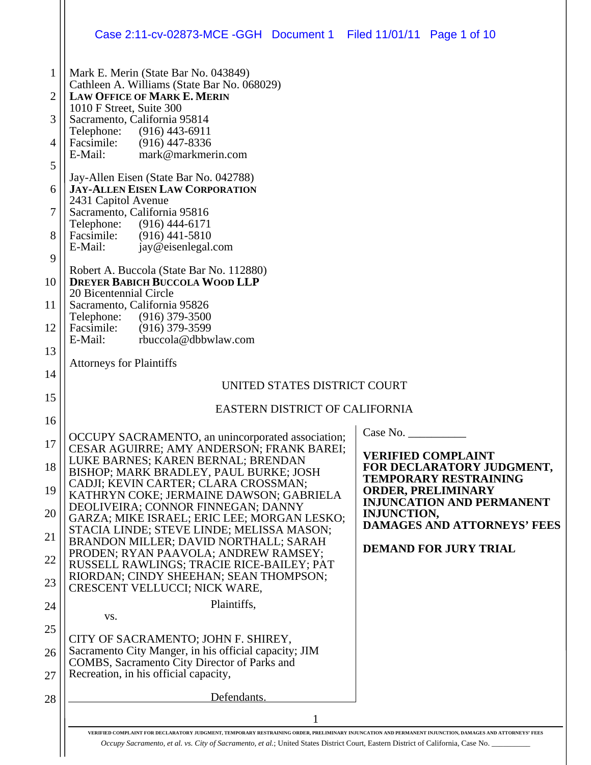|                     | Case 2:11-cv-02873-MCE -GGH  Document 1  Filed 11/01/11  Page 1 of 10                                                                        |  |  |  |  |
|---------------------|----------------------------------------------------------------------------------------------------------------------------------------------|--|--|--|--|
| 1                   | Mark E. Merin (State Bar No. 043849)<br>Cathleen A. Williams (State Bar No. 068029)                                                          |  |  |  |  |
| 2                   | <b>LAW OFFICE OF MARK E. MERIN</b><br>1010 F Street, Suite 300                                                                               |  |  |  |  |
| 3<br>$\overline{4}$ | Sacramento, California 95814<br>Telephone: (916) 443-6911<br>Facsimile: (916) 447-8336                                                       |  |  |  |  |
| 5                   | E-Mail:<br>mark@markmerin.com                                                                                                                |  |  |  |  |
| 6                   | Jay-Allen Eisen (State Bar No. 042788)<br><b>JAY-ALLEN EISEN LAW CORPORATION</b><br>2431 Capitol Avenue                                      |  |  |  |  |
| 7                   | Sacramento, California 95816<br>Telephone: (916) 444-6171                                                                                    |  |  |  |  |
| 8                   | Facsimile: (916) 441-5810<br>jay@eisenlegal.com<br>E-Mail:                                                                                   |  |  |  |  |
| 9                   | Robert A. Buccola (State Bar No. 112880)                                                                                                     |  |  |  |  |
| 10                  | <b>DREYER BABICH BUCCOLA WOOD LLP</b><br>20 Bicentennial Circle                                                                              |  |  |  |  |
| 11<br>12            | Sacramento, California 95826<br>Telephone: (916) 379-3500<br>Facsimile: (916) 379-3599                                                       |  |  |  |  |
| 13                  | rbuccola@dbbwlaw.com<br>E-Mail:                                                                                                              |  |  |  |  |
| 14                  | <b>Attorneys for Plaintiffs</b>                                                                                                              |  |  |  |  |
| 15                  | UNITED STATES DISTRICT COURT                                                                                                                 |  |  |  |  |
| 16                  | EASTERN DISTRICT OF CALIFORNIA                                                                                                               |  |  |  |  |
| 17                  | Case No.<br>OCCUPY SACRAMENTO, an unincorporated association;<br>CESAR AGUIRRE; AMY ANDERSON; FRANK BAREI;                                   |  |  |  |  |
| 18                  | <b>VERIFIED COMPLAINT</b><br>LUKE BARNES; KAREN BERNAL; BRENDAN<br>FOR DECLARATORY JUDGMENT,<br>BISHOP; MARK BRADLEY, PAUL BURKE; JOSH       |  |  |  |  |
| 19                  | <b>TEMPORARY RESTRAINING</b><br>CADJI; KEVIN CARTER; CLARA CROSSMAN;<br><b>ORDER, PRELIMINARY</b><br>KATHRYN COKE; JERMAINE DAWSON; GABRIELA |  |  |  |  |
| 20                  | <b>INJUNCATION AND PERMANENT</b><br>DEOLIVEIRA; CONNOR FINNEGAN; DANNY<br><b>INJUNCTION,</b><br>GARZA; MIKE ISRAEL; ERIC LEE; MORGAN LESKO;  |  |  |  |  |
| 21                  | <b>DAMAGES AND ATTORNEYS' FEES</b><br>STACIA LINDE; STEVE LINDE; MELISSA MASON;<br>BRANDON MILLER; DAVID NORTHALL; SARAH                     |  |  |  |  |
| 22                  | <b>DEMAND FOR JURY TRIAL</b><br>PRODEN; RYAN PAAVOLA; ANDREW RAMSEY;<br>RUSSELL RAWLINGS; TRACIE RICE-BAILEY; PAT                            |  |  |  |  |
| 23                  | RIORDAN; CINDY SHEEHAN; SEAN THOMPSON;<br>CRESCENT VELLUCCI; NICK WARE,                                                                      |  |  |  |  |
| 24                  | Plaintiffs,<br>VS.                                                                                                                           |  |  |  |  |
| 25                  | CITY OF SACRAMENTO; JOHN F. SHIREY,                                                                                                          |  |  |  |  |
| 26                  | Sacramento City Manger, in his official capacity; JIM<br>COMBS, Sacramento City Director of Parks and                                        |  |  |  |  |
| 27                  | Recreation, in his official capacity,<br>Defendants.                                                                                         |  |  |  |  |
| 28                  |                                                                                                                                              |  |  |  |  |
|                     |                                                                                                                                              |  |  |  |  |

**VERIFIED COMPLAINT FOR DECLARATORY JUDGMENT, TEMPORARY RESTRAINING ORDER, PRELIMINARY INJUNCATION AND PERMANENT INJUNCTION, DAMAGES AND ATTORNEYS' FEES**  *Occupy Sacramento, et al. vs. City of Sacramento, et al.*; United States District Court, Eastern District of California, Case No. \_\_\_\_\_\_\_\_\_\_

 $\mathbf{L}$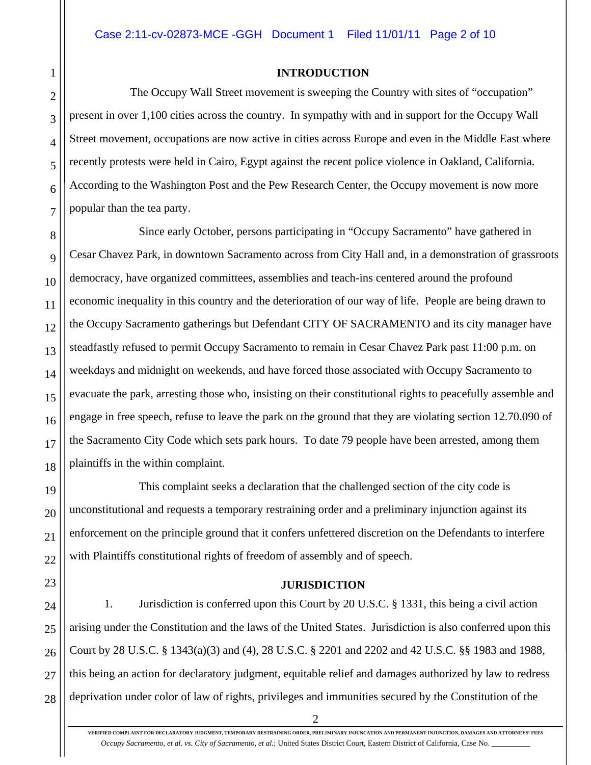#### **INTRODUCTION**

 The Occupy Wall Street movement is sweeping the Country with sites of "occupation" present in over 1,100 cities across the country. In sympathy with and in support for the Occupy Wall Street movement, occupations are now active in cities across Europe and even in the Middle East where recently protests were held in Cairo, Egypt against the recent police violence in Oakland, California. According to the Washington Post and the Pew Research Center, the Occupy movement is now more popular than the tea party.

 Since early October, persons participating in "Occupy Sacramento" have gathered in Cesar Chavez Park, in downtown Sacramento across from City Hall and, in a demonstration of grassroots democracy, have organized committees, assemblies and teach-ins centered around the profound economic inequality in this country and the deterioration of our way of life. People are being drawn to the Occupy Sacramento gatherings but Defendant CITY OF SACRAMENTO and its city manager have steadfastly refused to permit Occupy Sacramento to remain in Cesar Chavez Park past 11:00 p.m. on weekdays and midnight on weekends, and have forced those associated with Occupy Sacramento to evacuate the park, arresting those who, insisting on their constitutional rights to peacefully assemble and engage in free speech, refuse to leave the park on the ground that they are violating section 12.70.090 of the Sacramento City Code which sets park hours. To date 79 people have been arrested, among them plaintiffs in the within complaint.

 This complaint seeks a declaration that the challenged section of the city code is unconstitutional and requests a temporary restraining order and a preliminary injunction against its enforcement on the principle ground that it confers unfettered discretion on the Defendants to interfere with Plaintiffs constitutional rights of freedom of assembly and of speech.

#### **JURISDICTION**

24 25 26 27 28 1. Jurisdiction is conferred upon this Court by 20 U.S.C. § 1331, this being a civil action arising under the Constitution and the laws of the United States. Jurisdiction is also conferred upon this Court by 28 U.S.C. § 1343(a)(3) and (4), 28 U.S.C. § 2201 and 2202 and 42 U.S.C. §§ 1983 and 1988, this being an action for declaratory judgment, equitable relief and damages authorized by law to redress deprivation under color of law of rights, privileges and immunities secured by the Constitution of the

21

22

23

1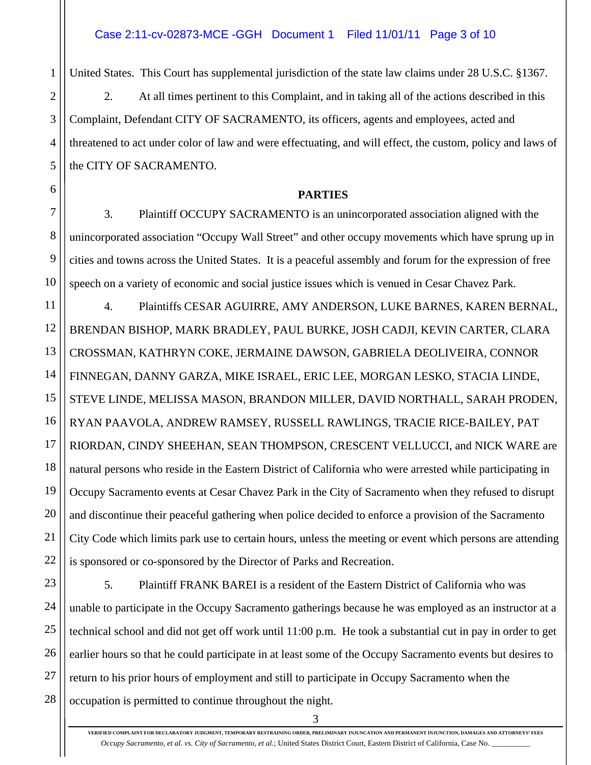1

2

3

4

5

6

7

8

9

10

United States. This Court has supplemental jurisdiction of the state law claims under 28 U.S.C. §1367.

2. At all times pertinent to this Complaint, and in taking all of the actions described in this Complaint, Defendant CITY OF SACRAMENTO, its officers, agents and employees, acted and threatened to act under color of law and were effectuating, and will effect, the custom, policy and laws of the CITY OF SACRAMENTO.

### **PARTIES**

3. Plaintiff OCCUPY SACRAMENTO is an unincorporated association aligned with the unincorporated association "Occupy Wall Street" and other occupy movements which have sprung up in cities and towns across the United States. It is a peaceful assembly and forum for the expression of free speech on a variety of economic and social justice issues which is venued in Cesar Chavez Park.

11 12 13 14 15 16 17 18 19 20 21 22 4. Plaintiffs CESAR AGUIRRE, AMY ANDERSON, LUKE BARNES, KAREN BERNAL, BRENDAN BISHOP, MARK BRADLEY, PAUL BURKE, JOSH CADJI, KEVIN CARTER, CLARA CROSSMAN, KATHRYN COKE, JERMAINE DAWSON, GABRIELA DEOLIVEIRA, CONNOR FINNEGAN, DANNY GARZA, MIKE ISRAEL, ERIC LEE, MORGAN LESKO, STACIA LINDE, STEVE LINDE, MELISSA MASON, BRANDON MILLER, DAVID NORTHALL, SARAH PRODEN, RYAN PAAVOLA, ANDREW RAMSEY, RUSSELL RAWLINGS, TRACIE RICE-BAILEY, PAT RIORDAN, CINDY SHEEHAN, SEAN THOMPSON, CRESCENT VELLUCCI, and NICK WARE are natural persons who reside in the Eastern District of California who were arrested while participating in Occupy Sacramento events at Cesar Chavez Park in the City of Sacramento when they refused to disrupt and discontinue their peaceful gathering when police decided to enforce a provision of the Sacramento City Code which limits park use to certain hours, unless the meeting or event which persons are attending is sponsored or co-sponsored by the Director of Parks and Recreation.

23 24 25 26 27 28 5. Plaintiff FRANK BAREI is a resident of the Eastern District of California who was unable to participate in the Occupy Sacramento gatherings because he was employed as an instructor at a technical school and did not get off work until 11:00 p.m. He took a substantial cut in pay in order to get earlier hours so that he could participate in at least some of the Occupy Sacramento events but desires to return to his prior hours of employment and still to participate in Occupy Sacramento when the occupation is permitted to continue throughout the night.

3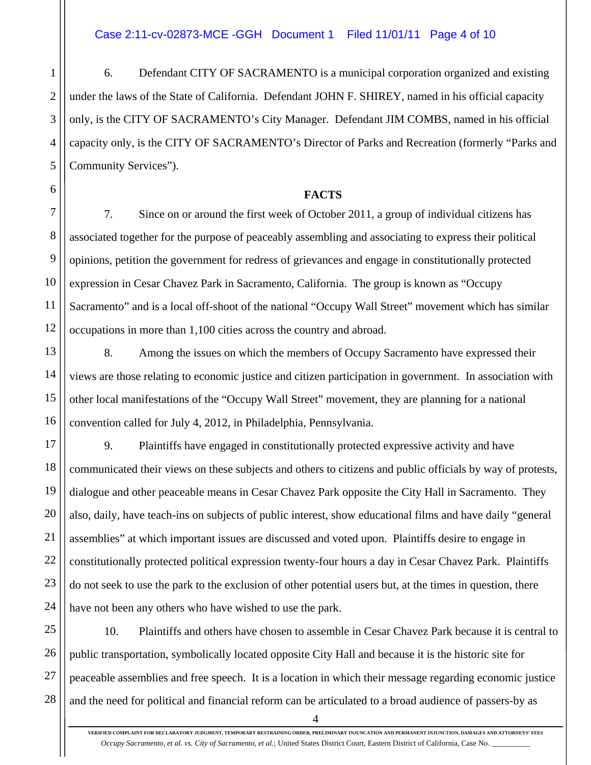1

2

3

4

5

6

7

8

9

10

11

12

13

14

15

16

21

6. Defendant CITY OF SACRAMENTO is a municipal corporation organized and existing under the laws of the State of California. Defendant JOHN F. SHIREY, named in his official capacity only, is the CITY OF SACRAMENTO's City Manager. Defendant JIM COMBS, named in his official capacity only, is the CITY OF SACRAMENTO's Director of Parks and Recreation (formerly "Parks and Community Services").

### **FACTS**

7. Since on or around the first week of October 2011, a group of individual citizens has associated together for the purpose of peaceably assembling and associating to express their political opinions, petition the government for redress of grievances and engage in constitutionally protected expression in Cesar Chavez Park in Sacramento, California. The group is known as "Occupy Sacramento" and is a local off-shoot of the national "Occupy Wall Street" movement which has similar occupations in more than 1,100 cities across the country and abroad.

8. Among the issues on which the members of Occupy Sacramento have expressed their views are those relating to economic justice and citizen participation in government. In association with other local manifestations of the "Occupy Wall Street" movement, they are planning for a national convention called for July 4, 2012, in Philadelphia, Pennsylvania.

17 18 19 20 22 23 24 9. Plaintiffs have engaged in constitutionally protected expressive activity and have communicated their views on these subjects and others to citizens and public officials by way of protests, dialogue and other peaceable means in Cesar Chavez Park opposite the City Hall in Sacramento. They also, daily, have teach-ins on subjects of public interest, show educational films and have daily "general assemblies" at which important issues are discussed and voted upon. Plaintiffs desire to engage in constitutionally protected political expression twenty-four hours a day in Cesar Chavez Park. Plaintiffs do not seek to use the park to the exclusion of other potential users but, at the times in question, there have not been any others who have wished to use the park.

25 26 27 28 10. Plaintiffs and others have chosen to assemble in Cesar Chavez Park because it is central to public transportation, symbolically located opposite City Hall and because it is the historic site for peaceable assemblies and free speech. It is a location in which their message regarding economic justice and the need for political and financial reform can be articulated to a broad audience of passers-by as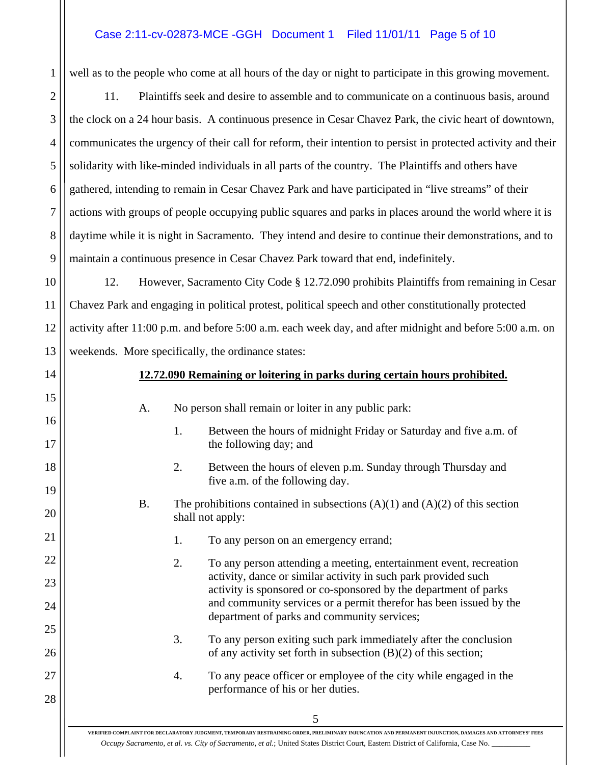# Case 2:11-cv-02873-MCE -GGH Document 1 Filed 11/01/11 Page 5 of 10

1

2

3

4

5

6

7

8

9

14

15

16

17

18

19

20

21

22

23

24

25

26

27

28

well as to the people who come at all hours of the day or night to participate in this growing movement.

11. Plaintiffs seek and desire to assemble and to communicate on a continuous basis, around the clock on a 24 hour basis. A continuous presence in Cesar Chavez Park, the civic heart of downtown, communicates the urgency of their call for reform, their intention to persist in protected activity and their solidarity with like-minded individuals in all parts of the country. The Plaintiffs and others have gathered, intending to remain in Cesar Chavez Park and have participated in "live streams" of their actions with groups of people occupying public squares and parks in places around the world where it is daytime while it is night in Sacramento. They intend and desire to continue their demonstrations, and to maintain a continuous presence in Cesar Chavez Park toward that end, indefinitely.

10 11 12 13 12. However, Sacramento City Code § 12.72.090 prohibits Plaintiffs from remaining in Cesar Chavez Park and engaging in political protest, political speech and other constitutionally protected activity after 11:00 p.m. and before 5:00 a.m. each week day, and after midnight and before 5:00 a.m. on weekends. More specifically, the ordinance states:

## **12.72.090 Remaining or loitering in parks during certain hours prohibited.**

| A.        |    | No person shall remain or loiter in any public park:                                                                                                                                                                                                                                                                          |
|-----------|----|-------------------------------------------------------------------------------------------------------------------------------------------------------------------------------------------------------------------------------------------------------------------------------------------------------------------------------|
|           | 1. | Between the hours of midnight Friday or Saturday and five a.m. of<br>the following day; and                                                                                                                                                                                                                                   |
|           | 2. | Between the hours of eleven p.m. Sunday through Thursday and<br>five a.m. of the following day.                                                                                                                                                                                                                               |
| <b>B.</b> |    | The prohibitions contained in subsections $(A)(1)$ and $(A)(2)$ of this section<br>shall not apply:                                                                                                                                                                                                                           |
|           | 1. | To any person on an emergency errand;                                                                                                                                                                                                                                                                                         |
|           | 2. | To any person attending a meeting, entertainment event, recreation<br>activity, dance or similar activity in such park provided such<br>activity is sponsored or co-sponsored by the department of parks<br>and community services or a permit therefor has been issued by the<br>department of parks and community services; |
|           | 3. | To any person exiting such park immediately after the conclusion<br>of any activity set forth in subsection $(B)(2)$ of this section;                                                                                                                                                                                         |
|           | 4. | To any peace officer or employee of the city while engaged in the<br>performance of his or her duties.                                                                                                                                                                                                                        |

**VERIFIED COMPLAINT FOR DECLARATORY JUDGMENT, TEMPORARY RESTRAINING ORDER, PRELIMINARY INJUNCATION AND PERMANENT INJUNCTION, DAMAGES AND ATTORNEYS' FEES**  *Occupy Sacramento, et al. vs. City of Sacramento, et al.*; United States District Court, Eastern District of California, Case No. \_\_\_\_\_\_\_\_\_\_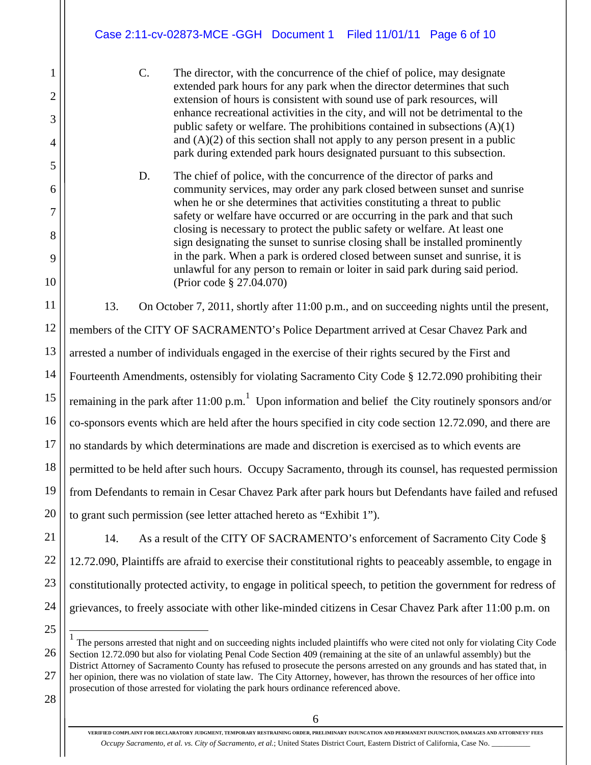C. The director, with the concurrence of the chief of police, may designate extended park hours for any park when the director determines that such extension of hours is consistent with sound use of park resources, will enhance recreational activities in the city, and will not be detrimental to the public safety or welfare. The prohibitions contained in subsections  $(A)(1)$ and  $(A)(2)$  of this section shall not apply to any person present in a public park during extended park hours designated pursuant to this subsection.

D. The chief of police, with the concurrence of the director of parks and community services, may order any park closed between sunset and sunrise when he or she determines that activities constituting a threat to public safety or welfare have occurred or are occurring in the park and that such closing is necessary to protect the public safety or welfare. At least one sign designating the sunset to sunrise closing shall be installed prominently in the park. When a park is ordered closed between sunset and sunrise, it is unlawful for any person to remain or loiter in said park during said period. (Prior code § 27.04.070)

11 12 13 14 15 16 17 18 19 20 13. On October 7, 2011, shortly after 11:00 p.m., and on succeeding nights until the present, members of the CITY OF SACRAMENTO's Police Department arrived at Cesar Chavez Park and arrested a number of individuals engaged in the exercise of their rights secured by the First and Fourteenth Amendments, ostensibly for violating Sacramento City Code § 12.72.090 prohibiting their remaining in the park after 11:00 p.m.<sup>1</sup> Upon information and belief the City routinely sponsors and/or co-sponsors events which are held after the hours specified in city code section 12.72.090, and there are no standards by which determinations are made and discretion is exercised as to which events are permitted to be held after such hours. Occupy Sacramento, through its counsel, has requested permission from Defendants to remain in Cesar Chavez Park after park hours but Defendants have failed and refused to grant such permission (see letter attached hereto as "Exhibit 1").

21 22 23 24 14. As a result of the CITY OF SACRAMENTO's enforcement of Sacramento City Code § 12.72.090, Plaintiffs are afraid to exercise their constitutional rights to peaceably assemble, to engage in constitutionally protected activity, to engage in political speech, to petition the government for redress of grievances, to freely associate with other like-minded citizens in Cesar Chavez Park after 11:00 p.m. on

28

25

 $\overline{1}$ 

1

2

3

4

5

6

7

8

9

10

<sup>26</sup>  27 <sup>1</sup> The persons arrested that night and on succeeding nights included plaintiffs who were cited not only for violating City Code Section 12.72.090 but also for violating Penal Code Section 409 (remaining at the site of an unlawful assembly) but the District Attorney of Sacramento County has refused to prosecute the persons arrested on any grounds and has stated that, in her opinion, there was no violation of state law. The City Attorney, however, has thrown the resources of her office into prosecution of those arrested for violating the park hours ordinance referenced above.

**VERIFIED COMPLAINT FOR DECLARATORY JUDGMENT, TEMPORARY RESTRAINING ORDER, PRELIMINARY INJUNCATION AND PERMANENT INJUNCTION, DAMAGES AND ATTORNEYS' FEES**  *Occupy Sacramento, et al. vs. City of Sacramento, et al.*; United States District Court, Eastern District of California, Case No. \_\_\_\_\_\_\_\_\_\_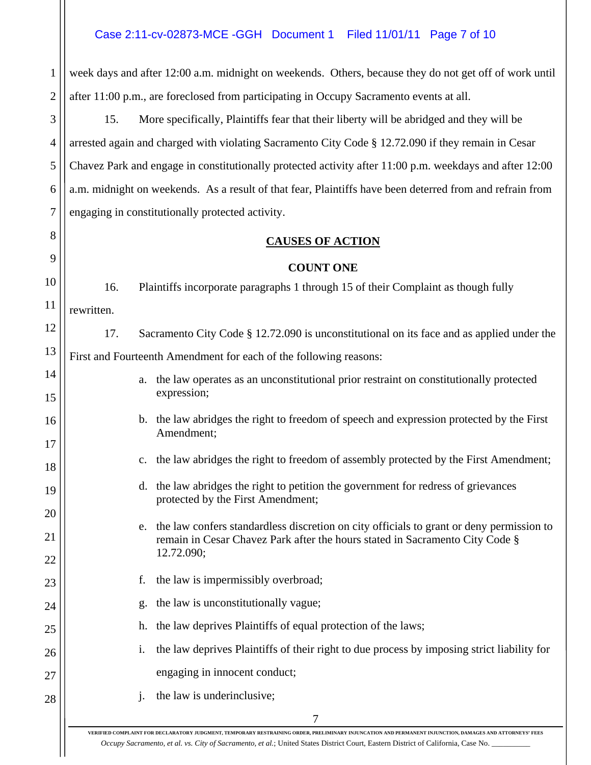1 2 week days and after 12:00 a.m. midnight on weekends. Others, because they do not get off of work until after 11:00 p.m., are foreclosed from participating in Occupy Sacramento events at all.

3 4 5 6 7 15. More specifically, Plaintiffs fear that their liberty will be abridged and they will be arrested again and charged with violating Sacramento City Code § 12.72.090 if they remain in Cesar Chavez Park and engage in constitutionally protected activity after 11:00 p.m. weekdays and after 12:00 a.m. midnight on weekends. As a result of that fear, Plaintiffs have been deterred from and refrain from engaging in constitutionally protected activity.

8

9

# **CAUSES OF ACTION**

# **COUNT ONE**

10 11 12 13 14 15 16 17 18 19 20 21 22 23 24 25 26 27 28 7 16. Plaintiffs incorporate paragraphs 1 through 15 of their Complaint as though fully rewritten. 17. Sacramento City Code § 12.72.090 is unconstitutional on its face and as applied under the First and Fourteenth Amendment for each of the following reasons: a. the law operates as an unconstitutional prior restraint on constitutionally protected expression; b. the law abridges the right to freedom of speech and expression protected by the First Amendment; c. the law abridges the right to freedom of assembly protected by the First Amendment; d. the law abridges the right to petition the government for redress of grievances protected by the First Amendment; e. the law confers standardless discretion on city officials to grant or deny permission to remain in Cesar Chavez Park after the hours stated in Sacramento City Code § 12.72.090; f. the law is impermissibly overbroad; g. the law is unconstitutionally vague; h. the law deprives Plaintiffs of equal protection of the laws; i. the law deprives Plaintiffs of their right to due process by imposing strict liability for engaging in innocent conduct; j. the law is underinclusive;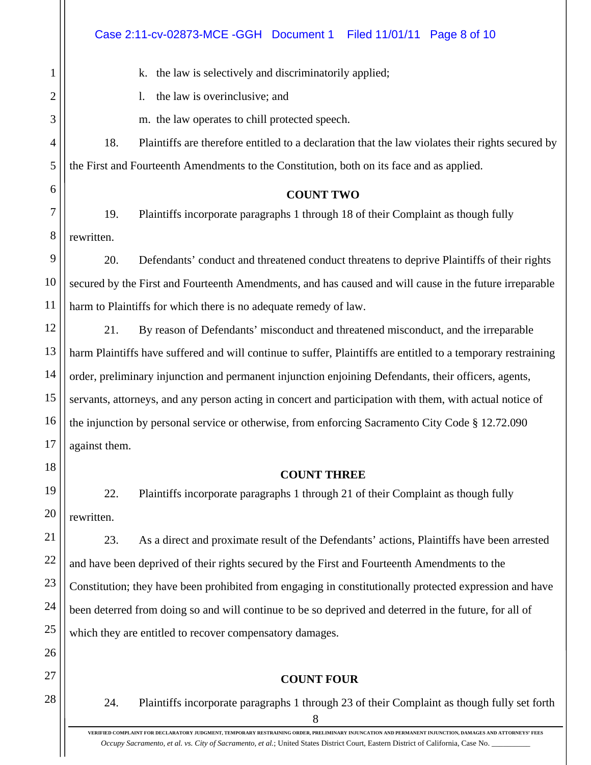|                | Case 2:11-cv-02873-MCE -GGH Document 1<br>Filed 11/01/11 Page 8 of 10                                         |
|----------------|---------------------------------------------------------------------------------------------------------------|
| $\mathbf{1}$   | k. the law is selectively and discriminatorily applied;                                                       |
| 2              | the law is overinclusive; and<br>$\mathbf{l}$ .                                                               |
| 3              | m. the law operates to chill protected speech.                                                                |
| $\overline{4}$ | 18.<br>Plaintiffs are therefore entitled to a declaration that the law violates their rights secured by       |
| 5              | the First and Fourteenth Amendments to the Constitution, both on its face and as applied.                     |
| 6              | <b>COUNT TWO</b>                                                                                              |
| 7              | 19.<br>Plaintiffs incorporate paragraphs 1 through 18 of their Complaint as though fully                      |
| 8              | rewritten.                                                                                                    |
| 9              | Defendants' conduct and threatened conduct threatens to deprive Plaintiffs of their rights<br>20.             |
| 10             | secured by the First and Fourteenth Amendments, and has caused and will cause in the future irreparable       |
| 11             | harm to Plaintiffs for which there is no adequate remedy of law.                                              |
| 12             | By reason of Defendants' misconduct and threatened misconduct, and the irreparable<br>21.                     |
| 13             | harm Plaintiffs have suffered and will continue to suffer, Plaintiffs are entitled to a temporary restraining |
| 14             | order, preliminary injunction and permanent injunction enjoining Defendants, their officers, agents,          |
| 15             | servants, attorneys, and any person acting in concert and participation with them, with actual notice of      |
| 16             | the injunction by personal service or otherwise, from enforcing Sacramento City Code § 12.72.090              |
| 17             | against them.                                                                                                 |
| 18             | <b>COUNT THREE</b>                                                                                            |
| 19             | 22.<br>Plaintiffs incorporate paragraphs 1 through 21 of their Complaint as though fully                      |
| 20             | rewritten.                                                                                                    |
| 21             | As a direct and proximate result of the Defendants' actions, Plaintiffs have been arrested<br>23.             |
| 22             | and have been deprived of their rights secured by the First and Fourteenth Amendments to the                  |
| 23             | Constitution; they have been prohibited from engaging in constitutionally protected expression and have       |
| 24             | been deterred from doing so and will continue to be so deprived and deterred in the future, for all of        |
| 25             | which they are entitled to recover compensatory damages.                                                      |
| 26             |                                                                                                               |
| 27             | <b>COUNT FOUR</b>                                                                                             |
| 28             | 24.<br>Plaintiffs incorporate paragraphs 1 through 23 of their Complaint as though fully set forth<br>8       |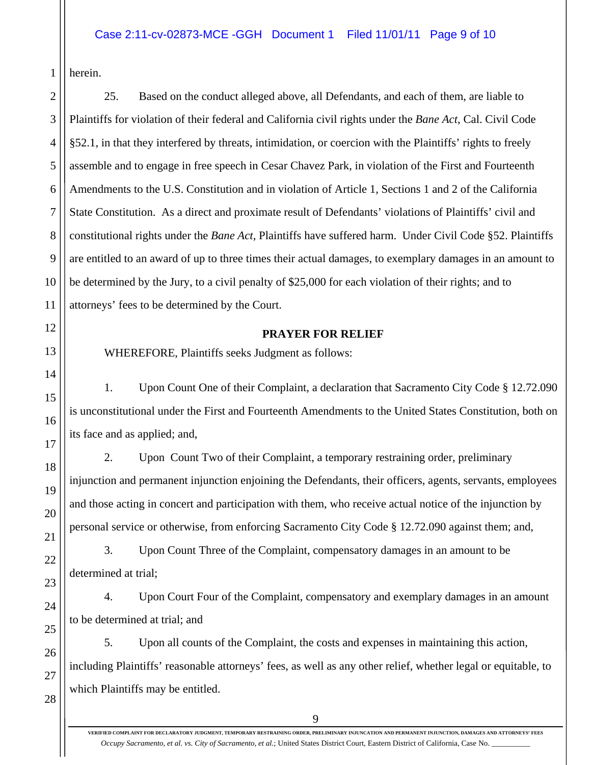herein.

1

3

5

6

7

8

11

12

13

14

15

16

17

18

19

20

21

22

23

24

2 4 9 10 25. Based on the conduct alleged above, all Defendants, and each of them, are liable to Plaintiffs for violation of their federal and California civil rights under the *Bane Act*, Cal. Civil Code §52.1, in that they interfered by threats, intimidation, or coercion with the Plaintiffs' rights to freely assemble and to engage in free speech in Cesar Chavez Park, in violation of the First and Fourteenth Amendments to the U.S. Constitution and in violation of Article 1, Sections 1 and 2 of the California State Constitution. As a direct and proximate result of Defendants' violations of Plaintiffs' civil and constitutional rights under the *Bane Act*, Plaintiffs have suffered harm. Under Civil Code §52. Plaintiffs are entitled to an award of up to three times their actual damages, to exemplary damages in an amount to be determined by the Jury, to a civil penalty of \$25,000 for each violation of their rights; and to attorneys' fees to be determined by the Court.

## **PRAYER FOR RELIEF**

WHEREFORE, Plaintiffs seeks Judgment as follows:

1. Upon Count One of their Complaint, a declaration that Sacramento City Code § 12.72.090 is unconstitutional under the First and Fourteenth Amendments to the United States Constitution, both on its face and as applied; and,

2. Upon Count Two of their Complaint, a temporary restraining order, preliminary injunction and permanent injunction enjoining the Defendants, their officers, agents, servants, employees and those acting in concert and participation with them, who receive actual notice of the injunction by personal service or otherwise, from enforcing Sacramento City Code § 12.72.090 against them; and,

3. Upon Count Three of the Complaint, compensatory damages in an amount to be determined at trial;

4. Upon Court Four of the Complaint, compensatory and exemplary damages in an amount to be determined at trial; and

5. Upon all counts of the Complaint, the costs and expenses in maintaining this action, including Plaintiffs' reasonable attorneys' fees, as well as any other relief, whether legal or equitable, to which Plaintiffs may be entitled.